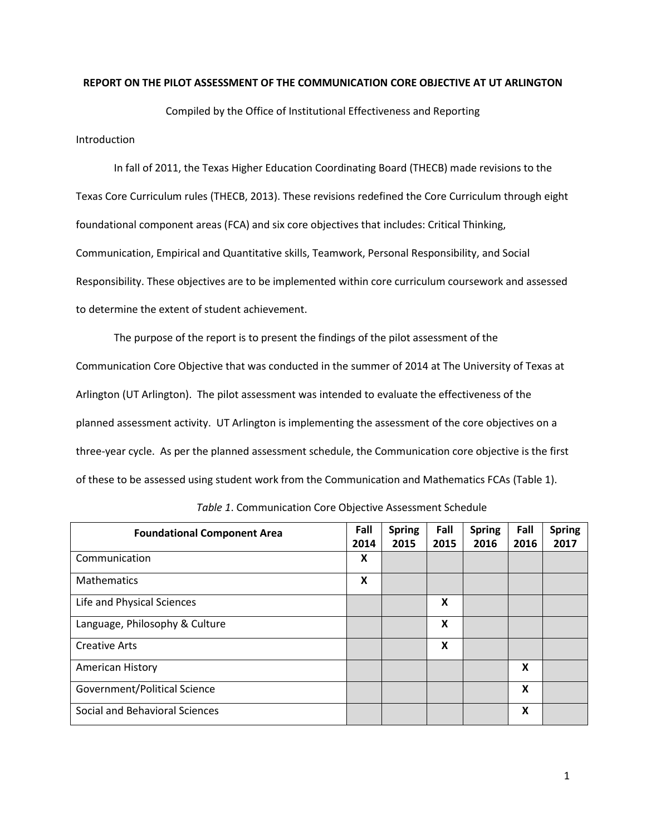### **REPORT ON THE PILOT ASSESSMENT OF THE COMMUNICATION CORE OBJECTIVE AT UT ARLINGTON**

Compiled by the Office of Institutional Effectiveness and Reporting

Introduction

In fall of 2011, the Texas Higher Education Coordinating Board (THECB) made revisions to the Texas Core Curriculum rules (THECB, 2013). These revisions redefined the Core Curriculum through eight foundational component areas (FCA) and six core objectives that includes: Critical Thinking, Communication, Empirical and Quantitative skills, Teamwork, Personal Responsibility, and Social Responsibility. These objectives are to be implemented within core curriculum coursework and assessed to determine the extent of student achievement.

The purpose of the report is to present the findings of the pilot assessment of the Communication Core Objective that was conducted in the summer of 2014 at The University of Texas at Arlington (UT Arlington). The pilot assessment was intended to evaluate the effectiveness of the planned assessment activity. UT Arlington is implementing the assessment of the core objectives on a three-year cycle. As per the planned assessment schedule, the Communication core objective is the first of these to be assessed using student work from the Communication and Mathematics FCAs (Table 1).

| <b>Foundational Component Area</b> | Fall<br>2014 | <b>Spring</b><br>2015 | Fall<br>2015 | <b>Spring</b><br>2016 | Fall<br>2016 | <b>Spring</b><br>2017 |
|------------------------------------|--------------|-----------------------|--------------|-----------------------|--------------|-----------------------|
|                                    |              |                       |              |                       |              |                       |
| Communication                      | X            |                       |              |                       |              |                       |
| Mathematics                        | X            |                       |              |                       |              |                       |
| Life and Physical Sciences         |              |                       | X            |                       |              |                       |
| Language, Philosophy & Culture     |              |                       | X            |                       |              |                       |
| <b>Creative Arts</b>               |              |                       | X            |                       |              |                       |
| American History                   |              |                       |              |                       | X            |                       |
| Government/Political Science       |              |                       |              |                       | X            |                       |
| Social and Behavioral Sciences     |              |                       |              |                       | X            |                       |

*Table 1*. Communication Core Objective Assessment Schedule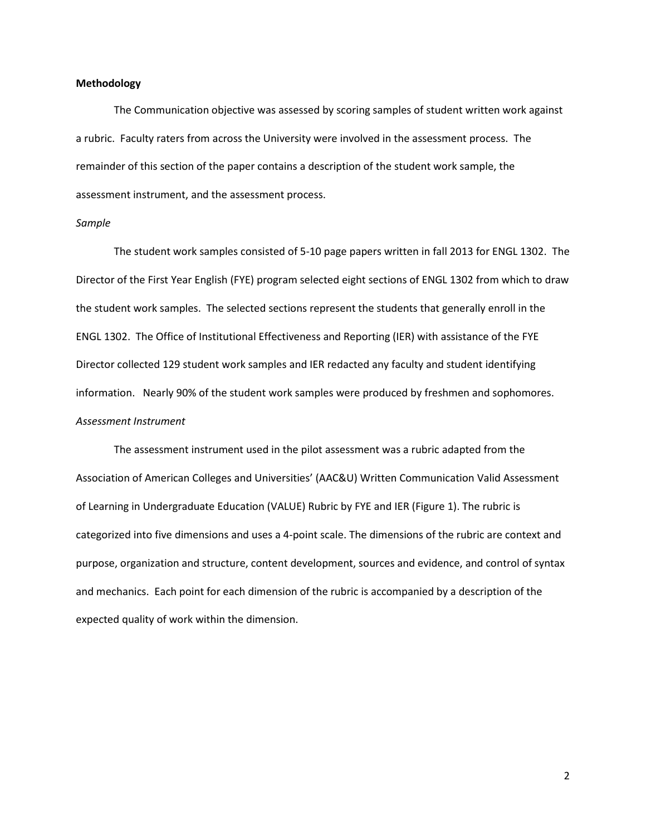### **Methodology**

The Communication objective was assessed by scoring samples of student written work against a rubric. Faculty raters from across the University were involved in the assessment process. The remainder of this section of the paper contains a description of the student work sample, the assessment instrument, and the assessment process.

#### *Sample*

The student work samples consisted of 5-10 page papers written in fall 2013 for ENGL 1302. The Director of the First Year English (FYE) program selected eight sections of ENGL 1302 from which to draw the student work samples. The selected sections represent the students that generally enroll in the ENGL 1302. The Office of Institutional Effectiveness and Reporting (IER) with assistance of the FYE Director collected 129 student work samples and IER redacted any faculty and student identifying information. Nearly 90% of the student work samples were produced by freshmen and sophomores. *Assessment Instrument*

The assessment instrument used in the pilot assessment was a rubric adapted from the Association of American Colleges and Universities' (AAC&U) Written Communication Valid Assessment of Learning in Undergraduate Education (VALUE) Rubric by FYE and IER (Figure 1). The rubric is categorized into five dimensions and uses a 4-point scale. The dimensions of the rubric are context and purpose, organization and structure, content development, sources and evidence, and control of syntax and mechanics. Each point for each dimension of the rubric is accompanied by a description of the expected quality of work within the dimension.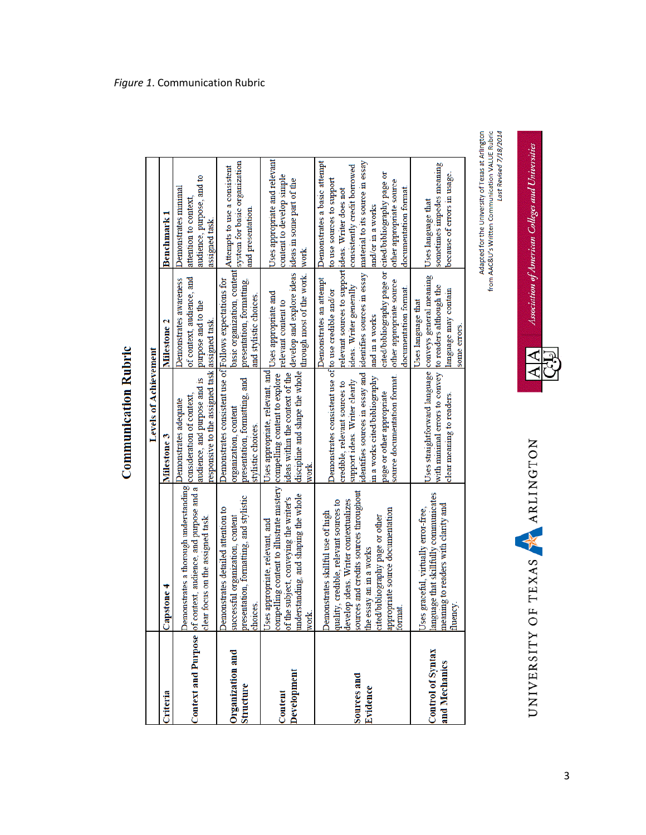|                                           |                                                                                                                                                                                                                                                                                 | <b>Levels of Achievement</b>                                                                                                                                                                                                                             |                                                                                                                                                                                                                                              |                                                                                                                                                                                                                                     |
|-------------------------------------------|---------------------------------------------------------------------------------------------------------------------------------------------------------------------------------------------------------------------------------------------------------------------------------|----------------------------------------------------------------------------------------------------------------------------------------------------------------------------------------------------------------------------------------------------------|----------------------------------------------------------------------------------------------------------------------------------------------------------------------------------------------------------------------------------------------|-------------------------------------------------------------------------------------------------------------------------------------------------------------------------------------------------------------------------------------|
| Criteria                                  | <b>Capstone 4</b>                                                                                                                                                                                                                                                               | <b>Milestone 3</b>                                                                                                                                                                                                                                       | <b>Milestone 2</b>                                                                                                                                                                                                                           | Benchmark 1                                                                                                                                                                                                                         |
| <b>Context and Purpose</b>                | Demonstrates a thorough understanding<br>of context, audience, and purpose and a<br>clear focus on the assigned task.                                                                                                                                                           | esponsive to the assigned task assigned task.<br>audience, and purpose and is<br>consideration of context,<br>Demonstrates adequate                                                                                                                      | of context, audience, and<br>Demonstrates awareness<br>purpose and to the                                                                                                                                                                    | audience, purpose, and to<br>Demonstrates minimal<br>attention to context,<br>assigned task.                                                                                                                                        |
| Organization and<br>Structure             | presentation, formatting, and stylistic<br>Demonstrates detailed attention to<br>successful organization, content<br>thoices.                                                                                                                                                   | Demonstrates consistent use of Follows expectations for<br>presentation, formatting, and<br>organization, content<br>stylistic choices.                                                                                                                  | basic organization, content<br>presentation, formatting,<br>and stylistic choices.                                                                                                                                                           | system for basic organization<br>Attempts to use a consistent<br>and presentation.                                                                                                                                                  |
| Development<br>Content                    | compelling content to illustrate mastery compelling content to explore<br>understanding, and shaping the whole<br>of the subject, conveying the writer's<br>Uses appropriate, relevant, and<br>work.                                                                            | Uses appropriate, relevant, and Uses appropriate and<br>discipline and shape the whole<br>ideas within the context of the<br>work.                                                                                                                       | develop and explore ideas<br>through most of the work.<br>relevant content to                                                                                                                                                                | Uses appropriate and relevant<br>content to develop simple<br>ideas in some part of the<br>work                                                                                                                                     |
| Sources and<br>Evidence                   | sources and credits sources throughout<br>develop ideas. Writer contextualizes<br>quality, credible, relevant sources to<br>appropriate source documentation<br>Demonstrates skillful use of high<br>cited/bibliography page or other<br>he essay an in a works<br><b>ormat</b> | Demonstrates consistent use of to use credible and/or<br>identifies sources in essay and<br>source documentation format.<br>in a works cited/bibliography<br>support ideas. Writer clearly<br>credible, relevant sources to<br>page or other appropriate | relevant sources to support ideas. Writer does not<br>cited/bibliography page or<br>identifies sources in essay<br>Demonstrates an attempt<br>other appropriate source<br>ideas. Writer generally<br>documentation format.<br>and in a works | Demonstrates a basic attempt<br>material to its source in essay<br>consistently credit borrowed<br>cited/bibliography page or<br>to use sources to support<br>other appropriate source<br>documentation format<br>and/or in a works |
| <b>Control of Syntax</b><br>and Mechanics | anguage that skillfully communicates<br>meaning to readers with clarity and<br>Uses graceful, virtually error-free,<br>fluency.                                                                                                                                                 | Uses straightforward language conveys general meaning<br>with minimal errors to convey<br>clear meaning to readers.                                                                                                                                      | to readers although the<br>language may contain<br>Uses language that<br>some errors.                                                                                                                                                        | sometimes impedes meaning<br>because of errors in usage.<br>Uses language that                                                                                                                                                      |

**Communication Rubric** 

*Figure 1*. Communication Rubric

Adapted for the University of Texas at Arlington<br>from AAC&U's Written Communication VALUE Rubric<br>Last Revised 7/18/2014

Association of American Colleges and Universities

⋖ ⋖

UNIVERSITY OF TEXAS ARLINGTON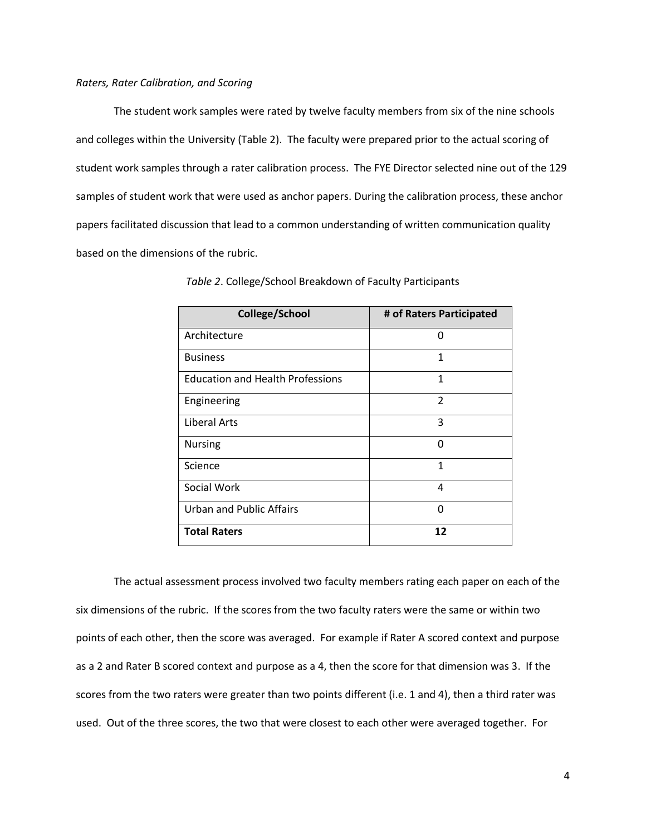The student work samples were rated by twelve faculty members from six of the nine schools and colleges within the University (Table 2). The faculty were prepared prior to the actual scoring of student work samples through a rater calibration process. The FYE Director selected nine out of the 129 samples of student work that were used as anchor papers. During the calibration process, these anchor papers facilitated discussion that lead to a common understanding of written communication quality based on the dimensions of the rubric.

| College/School                          | # of Raters Participated |
|-----------------------------------------|--------------------------|
| Architecture                            | O                        |
| <b>Business</b>                         | 1                        |
| <b>Education and Health Professions</b> | 1                        |
| Engineering                             | $\overline{2}$           |
| Liberal Arts                            | 3                        |
| <b>Nursing</b>                          | ŋ                        |
| Science                                 | 1                        |
| Social Work                             | 4                        |
| Urban and Public Affairs                | n                        |
| <b>Total Raters</b>                     | 12                       |

*Table 2*. College/School Breakdown of Faculty Participants

The actual assessment process involved two faculty members rating each paper on each of the six dimensions of the rubric. If the scores from the two faculty raters were the same or within two points of each other, then the score was averaged. For example if Rater A scored context and purpose as a 2 and Rater B scored context and purpose as a 4, then the score for that dimension was 3. If the scores from the two raters were greater than two points different (i.e. 1 and 4), then a third rater was used. Out of the three scores, the two that were closest to each other were averaged together. For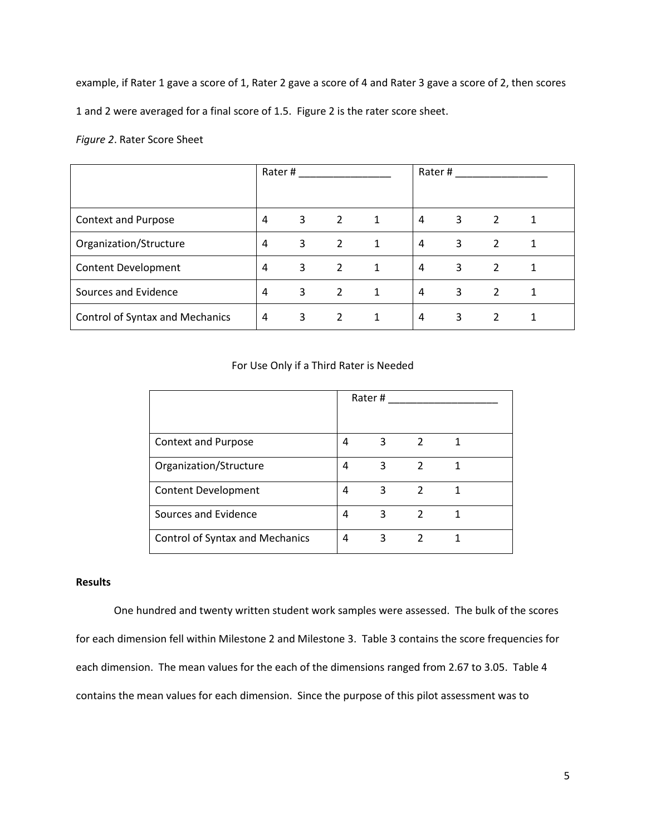example, if Rater 1 gave a score of 1, Rater 2 gave a score of 4 and Rater 3 gave a score of 2, then scores

1 and 2 were averaged for a final score of 1.5. Figure 2 is the rater score sheet.

*Figure 2*. Rater Score Sheet

|                                        | Rater# |   | Rater#         |   |                |   |                |   |
|----------------------------------------|--------|---|----------------|---|----------------|---|----------------|---|
|                                        |        |   |                |   |                |   |                |   |
| Context and Purpose                    | 4      | 3 | 2              | 1 | $\overline{4}$ | 3 | 2              |   |
| Organization/Structure                 | 4      | 3 | $\overline{2}$ | 1 | $\overline{4}$ | 3 | 2              |   |
| <b>Content Development</b>             | 4      | 3 | $\overline{2}$ | 1 | $\overline{4}$ | 3 | $\overline{2}$ | 1 |
| Sources and Evidence                   | 4      | 3 | 2              | 1 | $\overline{4}$ | 3 | 2              | 1 |
| <b>Control of Syntax and Mechanics</b> | 4      | 3 | 2              | 1 | 4              | 3 | 2              |   |

# For Use Only if a Third Rater is Needed

|                                        | Rater# |   |                |  |
|----------------------------------------|--------|---|----------------|--|
| Context and Purpose                    | 4      | 3 | $\overline{2}$ |  |
| Organization/Structure                 | 4      | 3 | $\mathcal{P}$  |  |
| <b>Content Development</b>             | 4      | 3 | 2              |  |
| Sources and Evidence                   | 4      | 3 | 2              |  |
| <b>Control of Syntax and Mechanics</b> | 4      | 3 |                |  |

## **Results**

One hundred and twenty written student work samples were assessed. The bulk of the scores for each dimension fell within Milestone 2 and Milestone 3. Table 3 contains the score frequencies for each dimension. The mean values for the each of the dimensions ranged from 2.67 to 3.05. Table 4 contains the mean values for each dimension. Since the purpose of this pilot assessment was to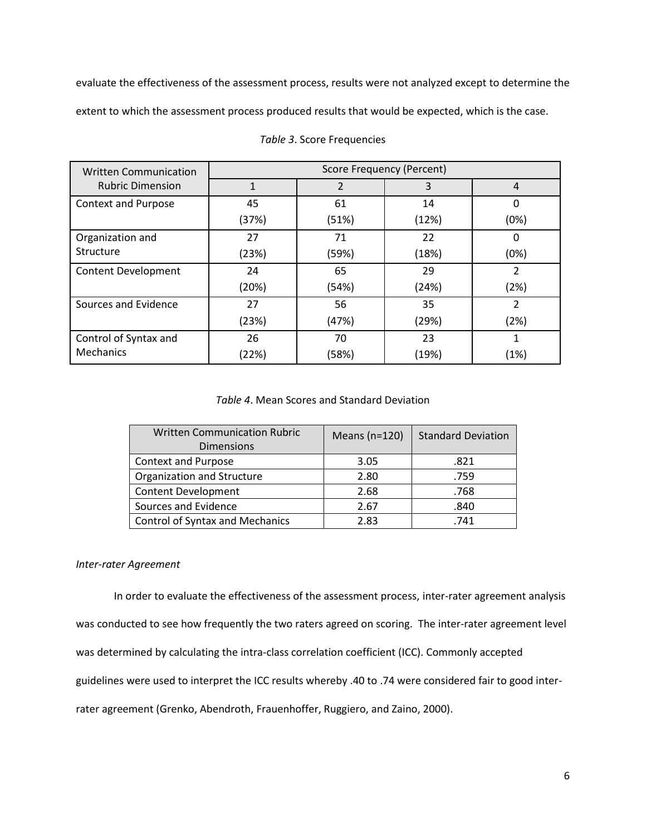evaluate the effectiveness of the assessment process, results were not analyzed except to determine the extent to which the assessment process produced results that would be expected, which is the case.

| <b>Written Communication</b> | <b>Score Frequency (Percent)</b> |       |       |                |  |
|------------------------------|----------------------------------|-------|-------|----------------|--|
| <b>Rubric Dimension</b>      |                                  |       | 3     | $\overline{4}$ |  |
| <b>Context and Purpose</b>   | 45                               | 61    | 14    | 0              |  |
|                              | (37%)                            | (51%) | (12%) | (0%)           |  |
| Organization and             | 27                               | 71    | 22    | 0              |  |
| Structure                    | (23%)                            | (59%) | (18%) | (0%)           |  |
| <b>Content Development</b>   | 24                               | 65    | 29    | 2              |  |
|                              | (20%)                            | (54%) | (24%) | (2%)           |  |
| Sources and Evidence         | 27                               | 56    | 35    | 2              |  |
|                              | (23%)                            | (47%) | (29%) | (2%)           |  |
| Control of Syntax and        | 26                               | 70    | 23    |                |  |
| <b>Mechanics</b>             | (22%)                            | (58%) | (19%) | (1%)           |  |

# *Table 3*. Score Frequencies

## *Table 4*. Mean Scores and Standard Deviation

| <b>Written Communication Rubric</b><br><b>Dimensions</b> | Means $(n=120)$ | <b>Standard Deviation</b> |
|----------------------------------------------------------|-----------------|---------------------------|
| Context and Purpose                                      | 3.05            | .821                      |
| Organization and Structure                               | 2.80            | .759                      |
| Content Development                                      | 2.68            | .768                      |
| Sources and Evidence                                     | 2.67            | .840                      |
| <b>Control of Syntax and Mechanics</b>                   | 2.83            | .741                      |

#### *Inter-rater Agreement*

In order to evaluate the effectiveness of the assessment process, inter-rater agreement analysis was conducted to see how frequently the two raters agreed on scoring. The inter-rater agreement level was determined by calculating the intra-class correlation coefficient (ICC). Commonly accepted guidelines were used to interpret the ICC results whereby .40 to .74 were considered fair to good interrater agreement (Grenko, Abendroth, Frauenhoffer, Ruggiero, and Zaino, 2000).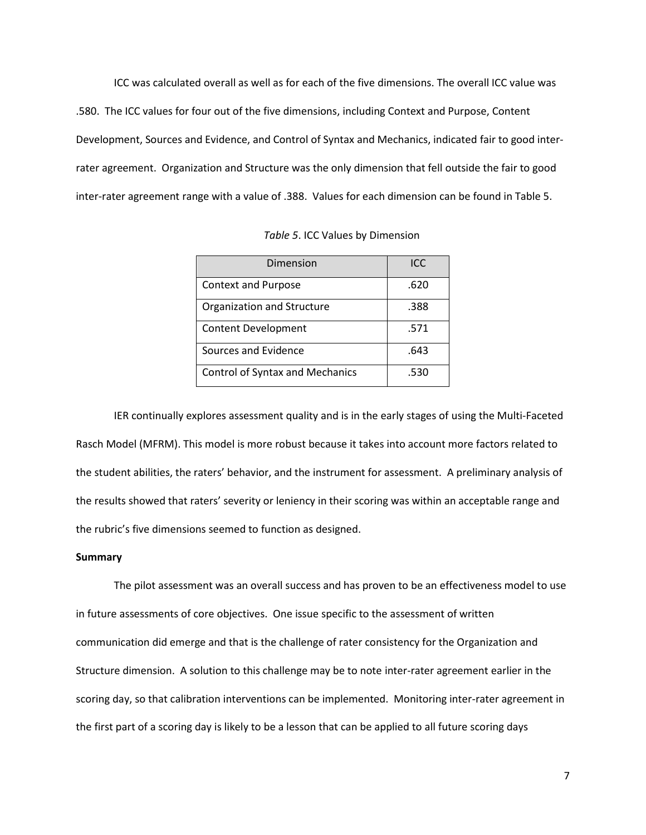ICC was calculated overall as well as for each of the five dimensions. The overall ICC value was .580. The ICC values for four out of the five dimensions, including Context and Purpose, Content Development, Sources and Evidence, and Control of Syntax and Mechanics, indicated fair to good interrater agreement. Organization and Structure was the only dimension that fell outside the fair to good inter-rater agreement range with a value of .388. Values for each dimension can be found in Table 5.

*Table 5*. ICC Values by Dimension

| Dimension                              | ICC  |
|----------------------------------------|------|
| <b>Context and Purpose</b>             | .620 |
| Organization and Structure             | .388 |
| <b>Content Development</b>             | .571 |
| Sources and Evidence                   | .643 |
| <b>Control of Syntax and Mechanics</b> | .530 |

IER continually explores assessment quality and is in the early stages of using the Multi-Faceted Rasch Model (MFRM). This model is more robust because it takes into account more factors related to the student abilities, the raters' behavior, and the instrument for assessment. A preliminary analysis of the results showed that raters' severity or leniency in their scoring was within an acceptable range and the rubric's five dimensions seemed to function as designed.

## **Summary**

The pilot assessment was an overall success and has proven to be an effectiveness model to use in future assessments of core objectives. One issue specific to the assessment of written communication did emerge and that is the challenge of rater consistency for the Organization and Structure dimension. A solution to this challenge may be to note inter-rater agreement earlier in the scoring day, so that calibration interventions can be implemented. Monitoring inter-rater agreement in the first part of a scoring day is likely to be a lesson that can be applied to all future scoring days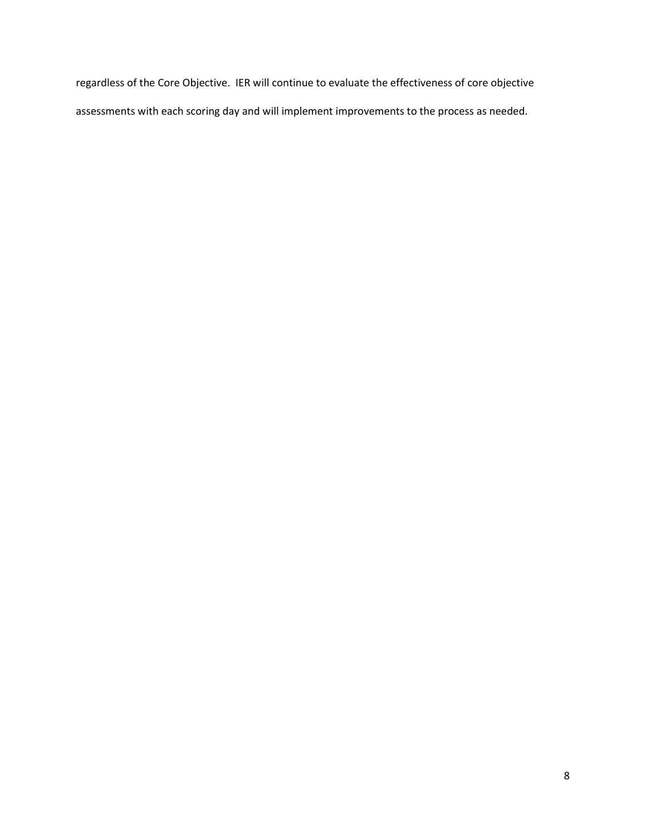regardless of the Core Objective. IER will continue to evaluate the effectiveness of core objective assessments with each scoring day and will implement improvements to the process as needed.